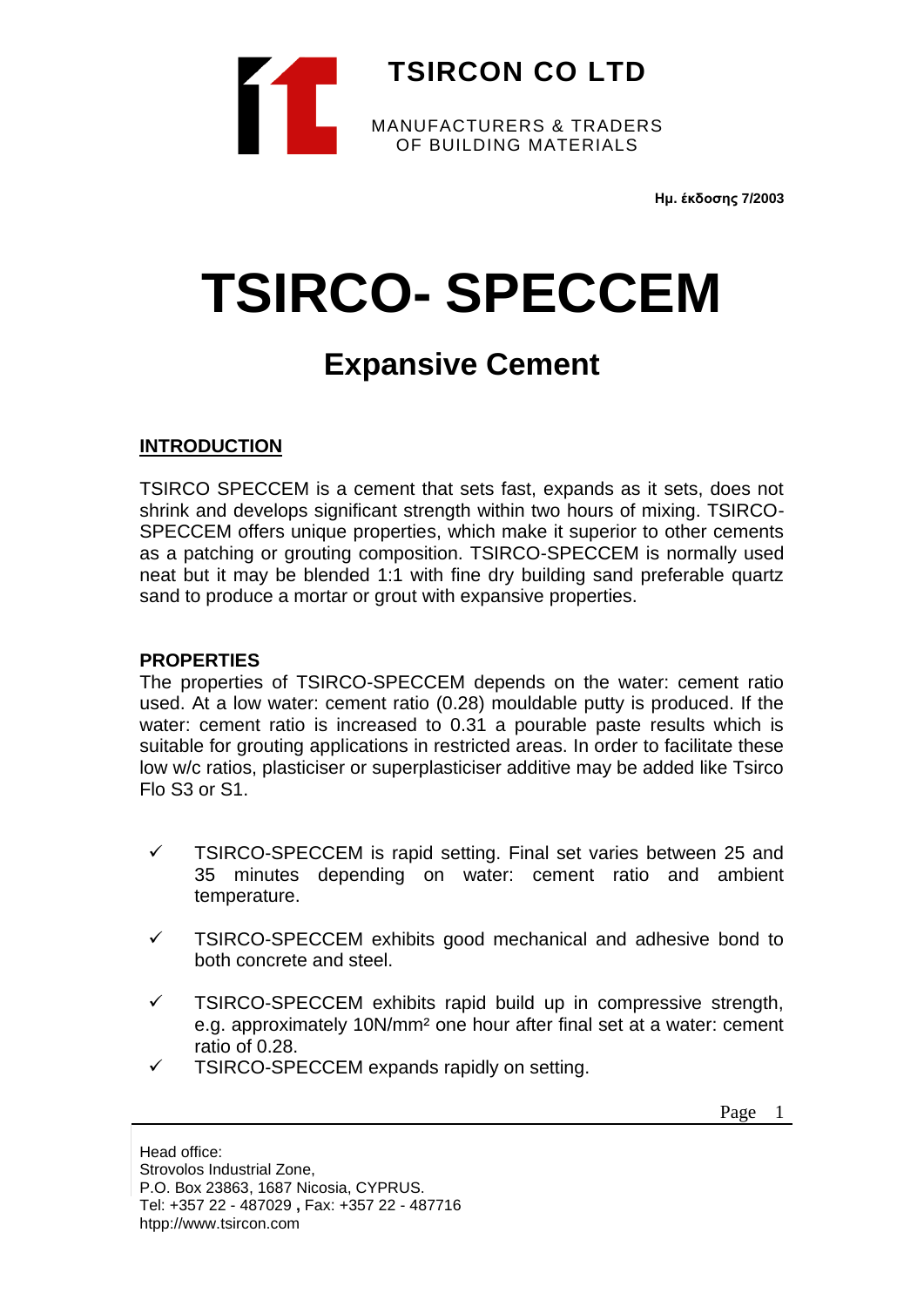

**Ημ. έκδοσης 7/2003**

# **TSIRCO- SPECCEM**

# **Expansive Cement**

# **INTRODUCTION**

TSIRCO SPECCEM is a cement that sets fast, expands as it sets, does not shrink and develops significant strength within two hours of mixing. TSIRCO-SPECCEM offers unique properties, which make it superior to other cements as a patching or grouting composition. TSIRCO-SPECCEM is normally used neat but it may be blended 1:1 with fine dry building sand preferable quartz sand to produce a mortar or grout with expansive properties.

#### **PROPERTIES**

The properties of TSIRCO-SPECCEM depends on the water: cement ratio used. At a low water: cement ratio (0.28) mouldable putty is produced. If the water: cement ratio is increased to 0.31 a pourable paste results which is suitable for grouting applications in restricted areas. In order to facilitate these low w/c ratios, plasticiser or superplasticiser additive may be added like Tsirco Flo S3 or S1.

- $\checkmark$  TSIRCO-SPECCEM is rapid setting. Final set varies between 25 and 35 minutes depending on water: cement ratio and ambient temperature.
- ✓ TSIRCO-SPECCEM exhibits good mechanical and adhesive bond to both concrete and steel.
- $\checkmark$  TSIRCO-SPECCEM exhibits rapid build up in compressive strength, e.g. approximately 10N/mm<sup>2</sup> one hour after final set at a water: cement ratio of 0.28.
- $\checkmark$  TSIRCO-SPECCEM expands rapidly on setting.

Page 1

Head office: Strovolos Industrial Zone, P.O. Box 23863, 1687 Nicosia, CYPRUS. Tel: +357 22 - 487029 **,** Fax: +357 22 - 487716 htpp://www.tsircon.com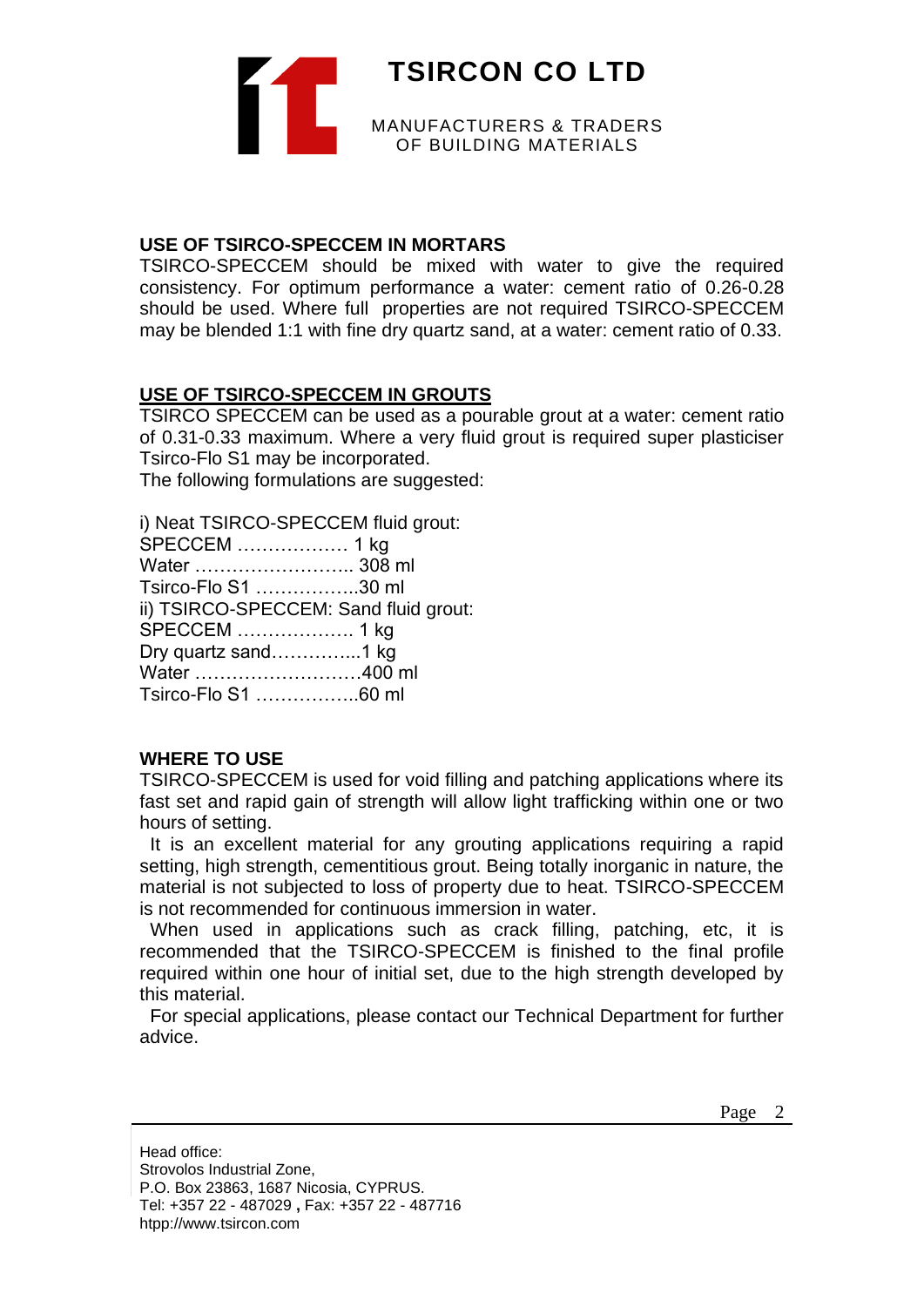

#### **USE OF TSIRCO-SPECCEM IN MORTARS**

TSIRCO-SPECCEM should be mixed with water to give the required consistency. For optimum performance a water: cement ratio of 0.26-0.28 should be used. Where full properties are not required TSIRCO-SPECCEM may be blended 1:1 with fine dry quartz sand, at a water: cement ratio of 0.33.

#### **USE OF TSIRCO-SPECCEM IN GROUTS**

TSIRCO SPECCEM can be used as a pourable grout at a water: cement ratio of 0.31-0.33 maximum. Where a very fluid grout is required super plasticiser Tsirco-Flo S1 may be incorporated.

The following formulations are suggested:

i) Neat TSIRCO-SPECCEM fluid grout: SPECCEM ……………… 1 kg Water …………………….. 308 ml Tsirco-Flo S1 ……………..30 ml ii) TSIRCO-SPECCEM: Sand fluid grout: SPECCEM ………………. 1 kg Dry quartz sand…………...1 kg Water ………………………400 ml Tsirco-Flo S1 ……………..60 ml

#### **WHERE TO USE**

TSIRCO-SPECCEM is used for void filling and patching applications where its fast set and rapid gain of strength will allow light trafficking within one or two hours of setting.

 It is an excellent material for any grouting applications requiring a rapid setting, high strength, cementitious grout. Being totally inorganic in nature, the material is not subjected to loss of property due to heat. TSIRCO-SPECCEM is not recommended for continuous immersion in water.

When used in applications such as crack filling, patching, etc, it is recommended that the TSIRCO-SPECCEM is finished to the final profile required within one hour of initial set, due to the high strength developed by this material.

 For special applications, please contact our Technical Department for further advice.

Page 2